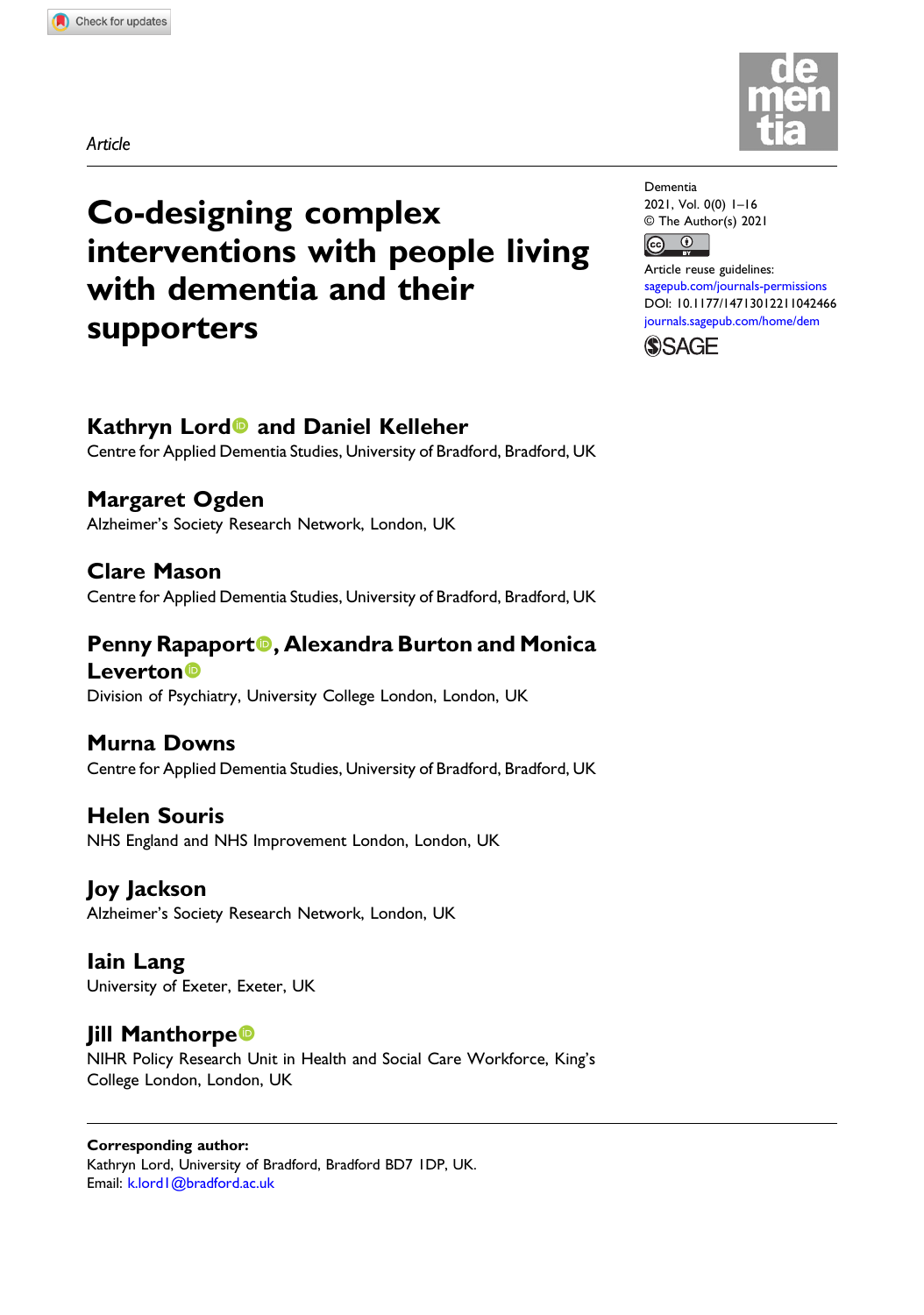Article

# Co-designing complex interventions with people living with dementia and their supporters

# Kathryn Lord<sup>o</sup> and Daniel Kelleher

Centre for Applied Dementia Studies, University of Bradford, Bradford, UK

Margaret Ogden Alzheimer's Society Research Network, London, UK

Clare Mason Centre for Applied Dementia Studies, University of Bradford, Bradford, UK

Penny Rapaport<sup>®</sup>, Alexandra Burton and Monica **Leverton**<sub>®</sub>

Division of Psychiatry, University College London, London, UK

# Murna Downs

Centre for Applied Dementia Studies, University of Bradford, Bradford, UK

Helen Souris NHS England and NHS Improvement London, London, UK

Joy Jackson

Alzheimer's Society Research Network, London, UK

Iain Lang University of Exeter, Exeter, UK

# **Jill Manthorpe**

NIHR Policy Research Unit in Health and Social Care Workforce, King's College London, London, UK

# Corresponding author:

Kathryn Lord, University of Bradford, Bradford BD7 1DP, UK. Email: [k.lord1@bradford.ac.uk](mailto:k.lord1@bradford.ac.uk)



Dementia 2021, Vol. 0(0) 1–16 © The Author(s) 2021  $\bigcirc$  $\left[\mathrm{G}\right]$ 

Article reuse guidelines: [sagepub.com/journals-permissions](https://uk.sagepub.com/en-gb/journals-permissions) DOI: [10.1177/14713012211042466](https://doi.org/10.1177/14713012211042466) [journals.sagepub.com/home/dem](https://journals.sagepub.com/home/dem)

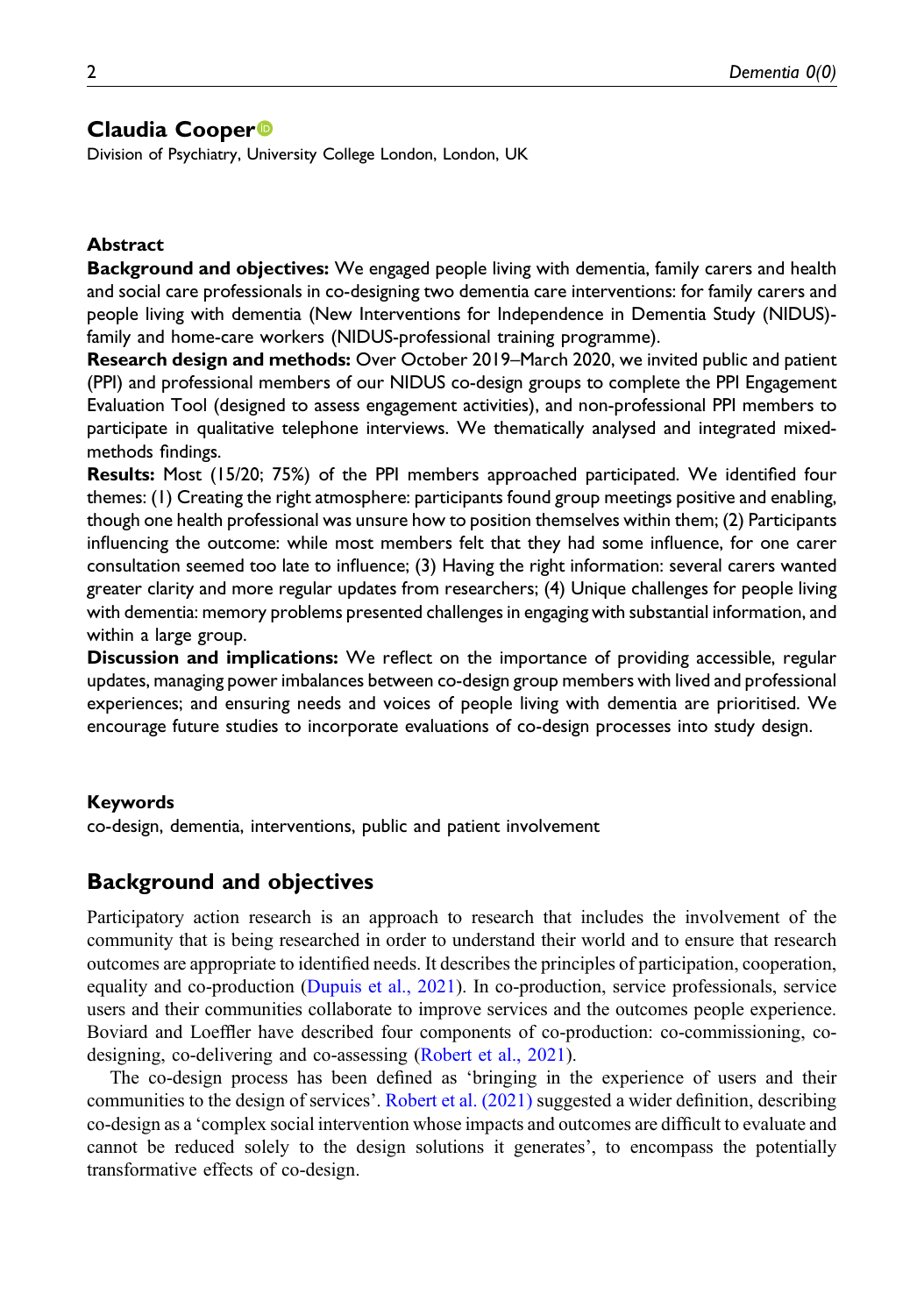# Claudia Cooper<sup>®</sup>

Division of Psychiatry, University College London, London, UK

## Abstract

**Background and objectives:** We engaged people living with dementia, family carers and health and social care professionals in co-designing two dementia care interventions: for family carers and people living with dementia (New Interventions for Independence in Dementia Study (NIDUS) family and home-care workers (NIDUS-professional training programme).

Research design and methods: Over October 2019–March 2020, we invited public and patient (PPI) and professional members of our NIDUS co-design groups to complete the PPI Engagement Evaluation Tool (designed to assess engagement activities), and non-professional PPI members to participate in qualitative telephone interviews. We thematically analysed and integrated mixedmethods findings.

Results: Most (15/20; 75%) of the PPI members approached participated. We identified four themes: (1) Creating the right atmosphere: participants found group meetings positive and enabling, though one health professional was unsure how to position themselves within them; (2) Participants influencing the outcome: while most members felt that they had some influence, for one carer consultation seemed too late to influence; (3) Having the right information: several carers wanted greater clarity and more regular updates from researchers; (4) Unique challenges for people living with dementia: memory problems presented challenges in engaging with substantial information, and within a large group.

Discussion and implications: We reflect on the importance of providing accessible, regular updates, managing power imbalances between co-design group members with lived and professional experiences; and ensuring needs and voices of people living with dementia are prioritised. We encourage future studies to incorporate evaluations of co-design processes into study design.

#### Keywords

co-design, dementia, interventions, public and patient involvement

## Background and objectives

Participatory action research is an approach to research that includes the involvement of the community that is being researched in order to understand their world and to ensure that research outcomes are appropriate to identified needs. It describes the principles of participation, cooperation, equality and co-production [\(Dupuis et al., 2021\)](#page-12-0). In co-production, service professionals, service users and their communities collaborate to improve services and the outcomes people experience. Boviard and Loeffler have described four components of co-production: co-commissioning, codesigning, co-delivering and co-assessing [\(Robert et al., 2021](#page-14-0)).

The co-design process has been defined as 'bringing in the experience of users and their communities to the design of services'. [Robert et al. \(2021\)](#page-14-0) suggested a wider definition, describing co-design as a 'complex social intervention whose impacts and outcomes are difficult to evaluate and cannot be reduced solely to the design solutions it generates', to encompass the potentially transformative effects of co-design.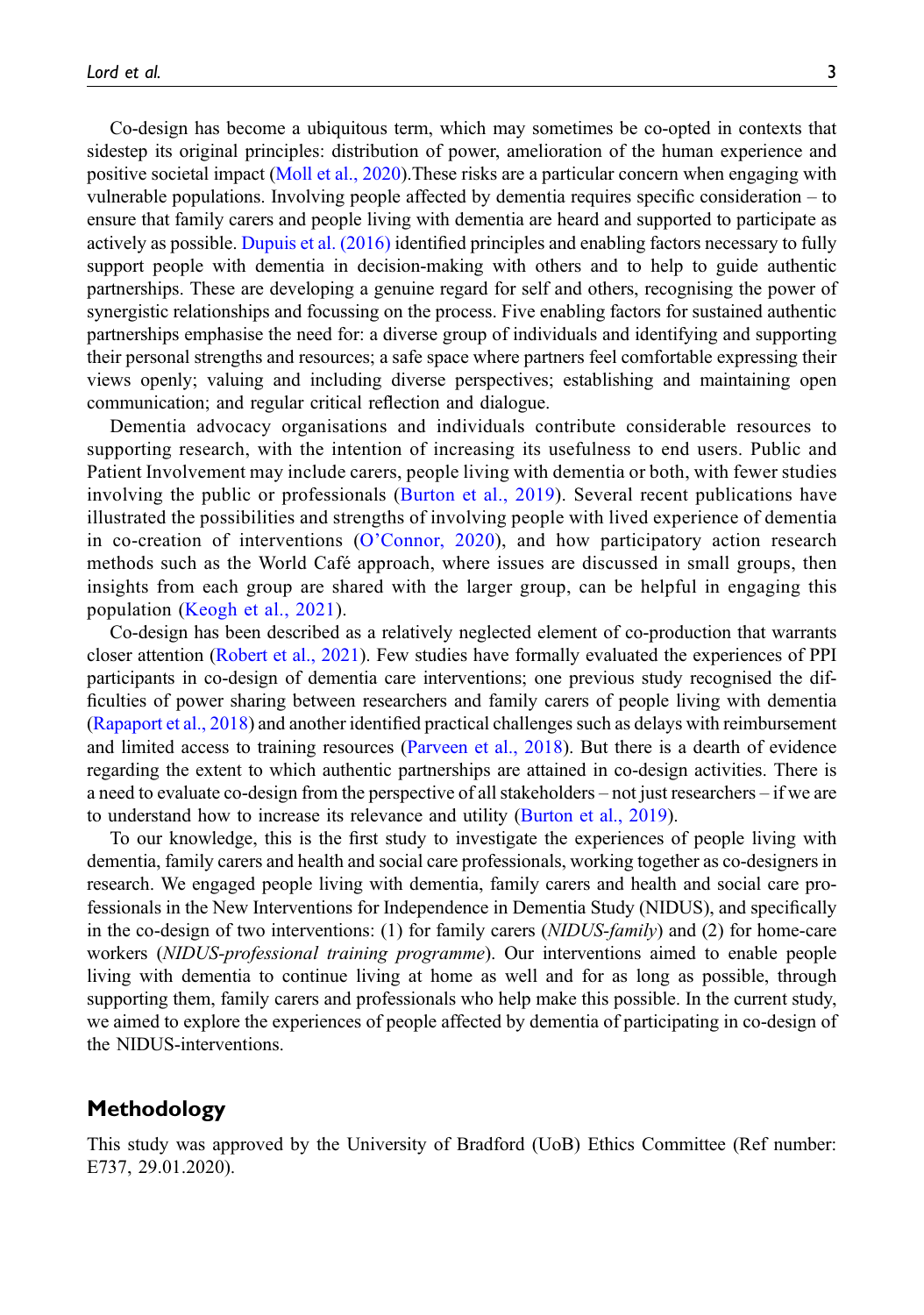Co-design has become a ubiquitous term, which may sometimes be co-opted in contexts that sidestep its original principles: distribution of power, amelioration of the human experience and positive societal impact ([Moll et al., 2020](#page-13-0)).These risks are a particular concern when engaging with vulnerable populations. Involving people affected by dementia requires specific consideration – to ensure that family carers and people living with dementia are heard and supported to participate as actively as possible. [Dupuis et al. \(2016\)](#page-12-1) identified principles and enabling factors necessary to fully support people with dementia in decision-making with others and to help to guide authentic partnerships. These are developing a genuine regard for self and others, recognising the power of synergistic relationships and focussing on the process. Five enabling factors for sustained authentic partnerships emphasise the need for: a diverse group of individuals and identifying and supporting their personal strengths and resources; a safe space where partners feel comfortable expressing their views openly; valuing and including diverse perspectives; establishing and maintaining open communication; and regular critical reflection and dialogue.

Dementia advocacy organisations and individuals contribute considerable resources to supporting research, with the intention of increasing its usefulness to end users. Public and Patient Involvement may include carers, people living with dementia or both, with fewer studies involving the public or professionals ([Burton et al., 2019\)](#page-12-2). Several recent publications have illustrated the possibilities and strengths of involving people with lived experience of dementia in co-creation of interventions (O'[Connor, 2020](#page-13-1)), and how participatory action research methods such as the World Café approach, where issues are discussed in small groups, then insights from each group are shared with the larger group, can be helpful in engaging this population [\(Keogh et al., 2021](#page-13-2)).

Co-design has been described as a relatively neglected element of co-production that warrants closer attention ([Robert et al., 2021\)](#page-14-0). Few studies have formally evaluated the experiences of PPI participants in co-design of dementia care interventions; one previous study recognised the difficulties of power sharing between researchers and family carers of people living with dementia ([Rapaport et al., 2018\)](#page-14-1) and another identified practical challenges such as delays with reimbursement and limited access to training resources [\(Parveen et al., 2018\)](#page-14-2). But there is a dearth of evidence regarding the extent to which authentic partnerships are attained in co-design activities. There is a need to evaluate co-design from the perspective of all stakeholders – not just researchers – if we are to understand how to increase its relevance and utility ([Burton et al., 2019](#page-12-2)).

To our knowledge, this is the first study to investigate the experiences of people living with dementia, family carers and health and social care professionals, working together as co-designers in research. We engaged people living with dementia, family carers and health and social care professionals in the New Interventions for Independence in Dementia Study (NIDUS), and specifically in the co-design of two interventions: (1) for family carers (NIDUS-family) and (2) for home-care workers (NIDUS-professional training programme). Our interventions aimed to enable people living with dementia to continue living at home as well and for as long as possible, through supporting them, family carers and professionals who help make this possible. In the current study, we aimed to explore the experiences of people affected by dementia of participating in co-design of the NIDUS-interventions.

# Methodology

This study was approved by the University of Bradford (UoB) Ethics Committee (Ref number: E737, 29.01.2020).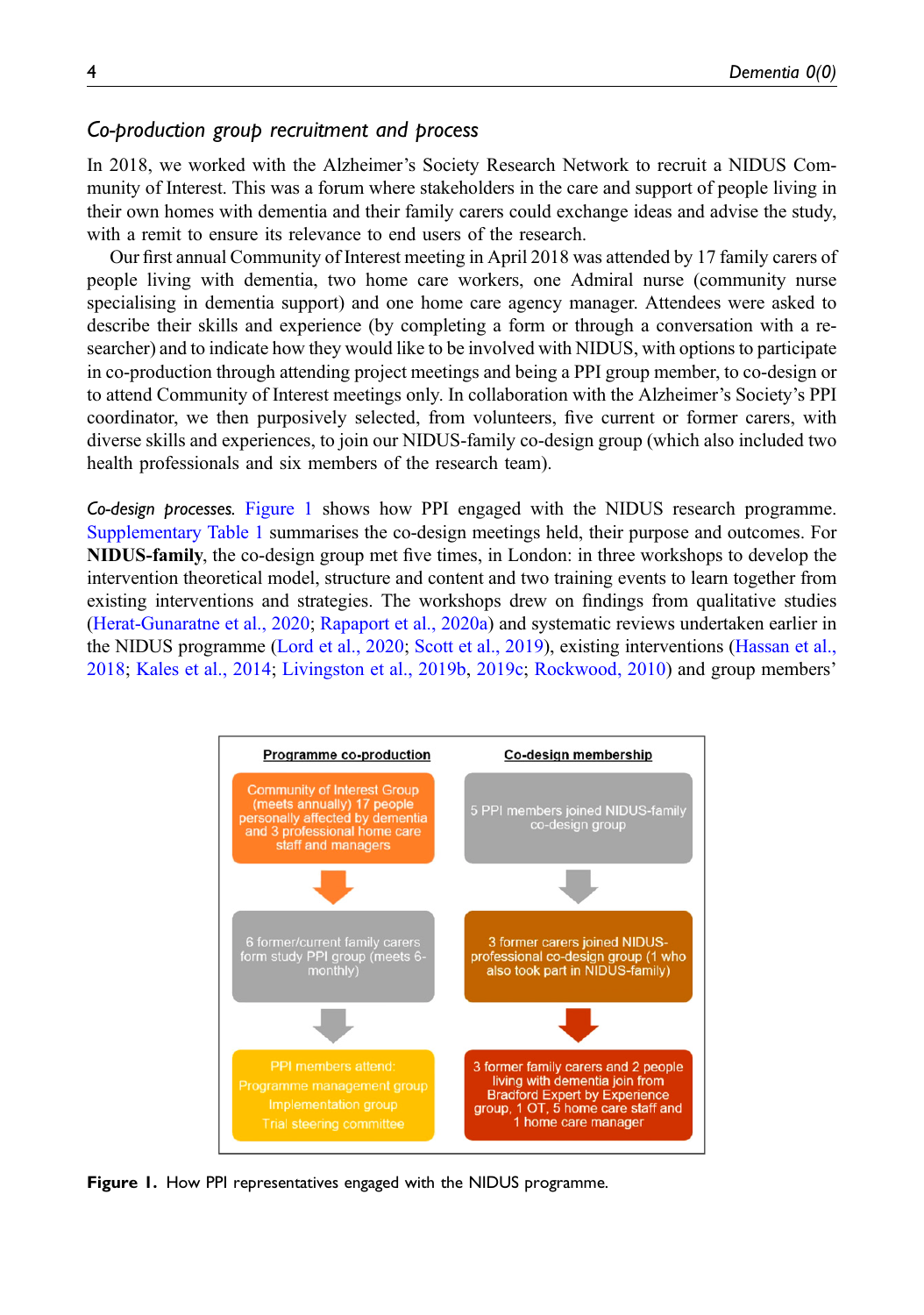# Co-production group recruitment and process

In 2018, we worked with the Alzheimer's Society Research Network to recruit a NIDUS Community of Interest. This was a forum where stakeholders in the care and support of people living in their own homes with dementia and their family carers could exchange ideas and advise the study, with a remit to ensure its relevance to end users of the research.

Our first annual Community of Interest meeting in April 2018 was attended by 17 family carers of people living with dementia, two home care workers, one Admiral nurse (community nurse specialising in dementia support) and one home care agency manager. Attendees were asked to describe their skills and experience (by completing a form or through a conversation with a researcher) and to indicate how they would like to be involved with NIDUS, with options to participate in co-production through attending project meetings and being a PPI group member, to co-design or to attend Community of Interest meetings only. In collaboration with the Alzheimer's Society's PPI coordinator, we then purposively selected, from volunteers, five current or former carers, with diverse skills and experiences, to join our NIDUS-family co-design group (which also included two health professionals and six members of the research team).

Co-design processes. [Figure 1](#page-3-0) shows how PPI engaged with the NIDUS research programme. [Supplementary Table 1](https://journals.sagepub.com/doi/suppl/10.13039/501100000320) summarises the co-design meetings held, their purpose and outcomes. For NIDUS-family, the co-design group met five times, in London: in three workshops to develop the intervention theoretical model, structure and content and two training events to learn together from existing interventions and strategies. The workshops drew on findings from qualitative studies ([Herat-Gunaratne et al., 2020;](#page-13-3) [Rapaport et al., 2020a](#page-14-3)) and systematic reviews undertaken earlier in the NIDUS programme [\(Lord et al., 2020;](#page-13-4) [Scott et al., 2019\)](#page-14-4), existing interventions [\(Hassan et al.,](#page-13-5) [2018](#page-13-5); [Kales et al., 2014;](#page-13-6) [Livingston et al., 2019b](#page-13-7), [2019c](#page-13-8); [Rockwood, 2010](#page-14-5)) and group members'



<span id="page-3-0"></span>Figure 1. How PPI representatives engaged with the NIDUS programme.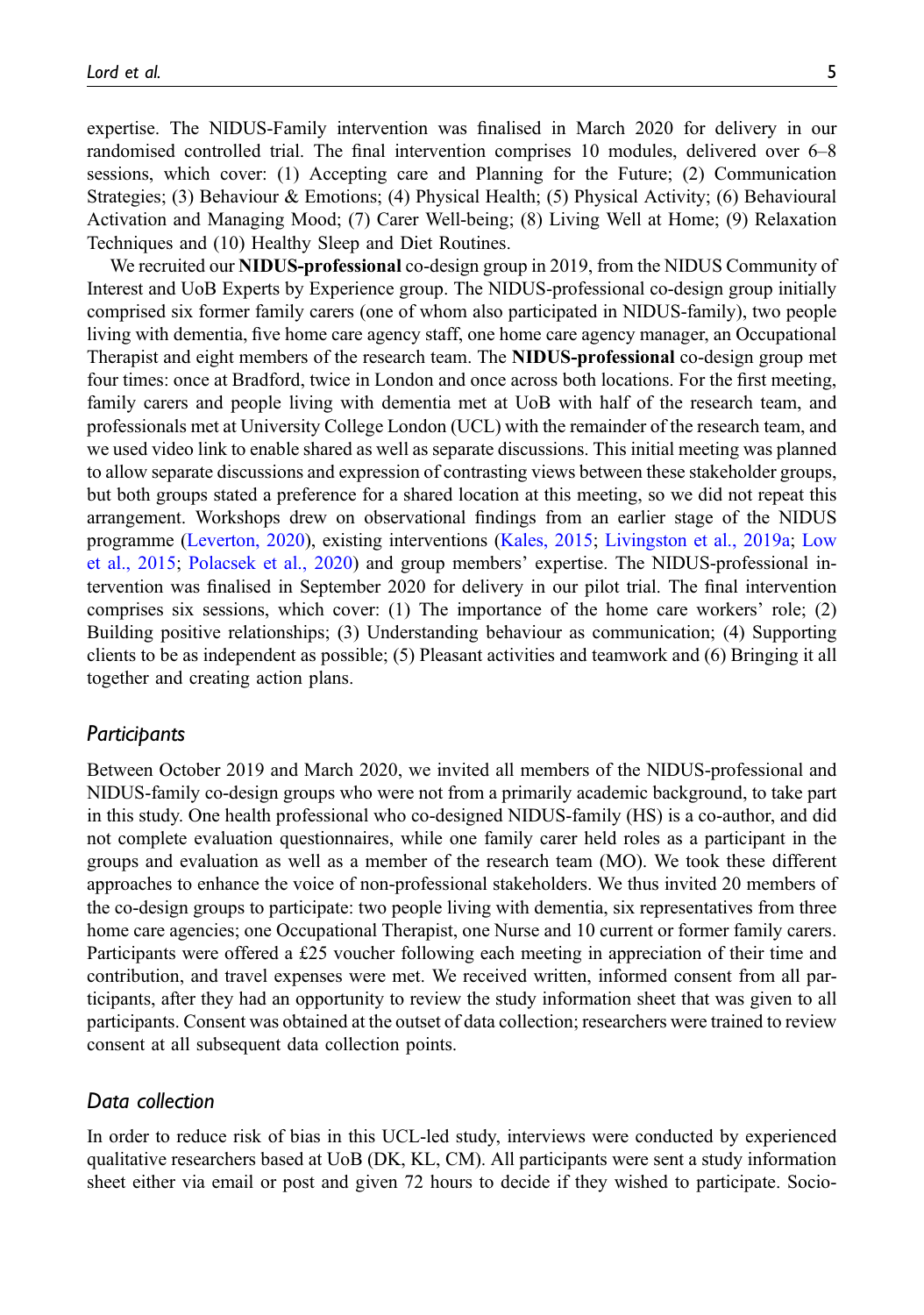expertise. The NIDUS-Family intervention was finalised in March 2020 for delivery in our randomised controlled trial. The final intervention comprises 10 modules, delivered over 6–8 sessions, which cover: (1) Accepting care and Planning for the Future; (2) Communication Strategies; (3) Behaviour & Emotions; (4) Physical Health; (5) Physical Activity; (6) Behavioural Activation and Managing Mood; (7) Carer Well-being; (8) Living Well at Home; (9) Relaxation Techniques and (10) Healthy Sleep and Diet Routines.

We recruited our **NIDUS-professional** co-design group in 2019, from the NIDUS Community of Interest and UoB Experts by Experience group. The NIDUS-professional co-design group initially comprised six former family carers (one of whom also participated in NIDUS-family), two people living with dementia, five home care agency staff, one home care agency manager, an Occupational Therapist and eight members of the research team. The NIDUS-professional co-design group met four times: once at Bradford, twice in London and once across both locations. For the first meeting, family carers and people living with dementia met at UoB with half of the research team, and professionals met at University College London (UCL) with the remainder of the research team, and we used video link to enable shared as well as separate discussions. This initial meeting was planned to allow separate discussions and expression of contrasting views between these stakeholder groups, but both groups stated a preference for a shared location at this meeting, so we did not repeat this arrangement. Workshops drew on observational findings from an earlier stage of the NIDUS programme ([Leverton, 2020](#page-13-9)), existing interventions [\(Kales, 2015](#page-13-10); [Livingston et al., 2019a](#page-13-11); [Low](#page-13-12) [et al., 2015;](#page-13-12) [Polacsek et al., 2020\)](#page-14-6) and group members' expertise. The NIDUS-professional intervention was finalised in September 2020 for delivery in our pilot trial. The final intervention comprises six sessions, which cover: (1) The importance of the home care workers' role; (2) Building positive relationships; (3) Understanding behaviour as communication; (4) Supporting clients to be as independent as possible; (5) Pleasant activities and teamwork and (6) Bringing it all together and creating action plans.

#### Participants

Between October 2019 and March 2020, we invited all members of the NIDUS-professional and NIDUS-family co-design groups who were not from a primarily academic background, to take part in this study. One health professional who co-designed NIDUS-family (HS) is a co-author, and did not complete evaluation questionnaires, while one family carer held roles as a participant in the groups and evaluation as well as a member of the research team (MO). We took these different approaches to enhance the voice of non-professional stakeholders. We thus invited 20 members of the co-design groups to participate: two people living with dementia, six representatives from three home care agencies; one Occupational Therapist, one Nurse and 10 current or former family carers. Participants were offered a £25 voucher following each meeting in appreciation of their time and contribution, and travel expenses were met. We received written, informed consent from all participants, after they had an opportunity to review the study information sheet that was given to all participants. Consent was obtained at the outset of data collection; researchers were trained to review consent at all subsequent data collection points.

## Data collection

In order to reduce risk of bias in this UCL-led study, interviews were conducted by experienced qualitative researchers based at UoB (DK, KL, CM). All participants were sent a study information sheet either via email or post and given 72 hours to decide if they wished to participate. Socio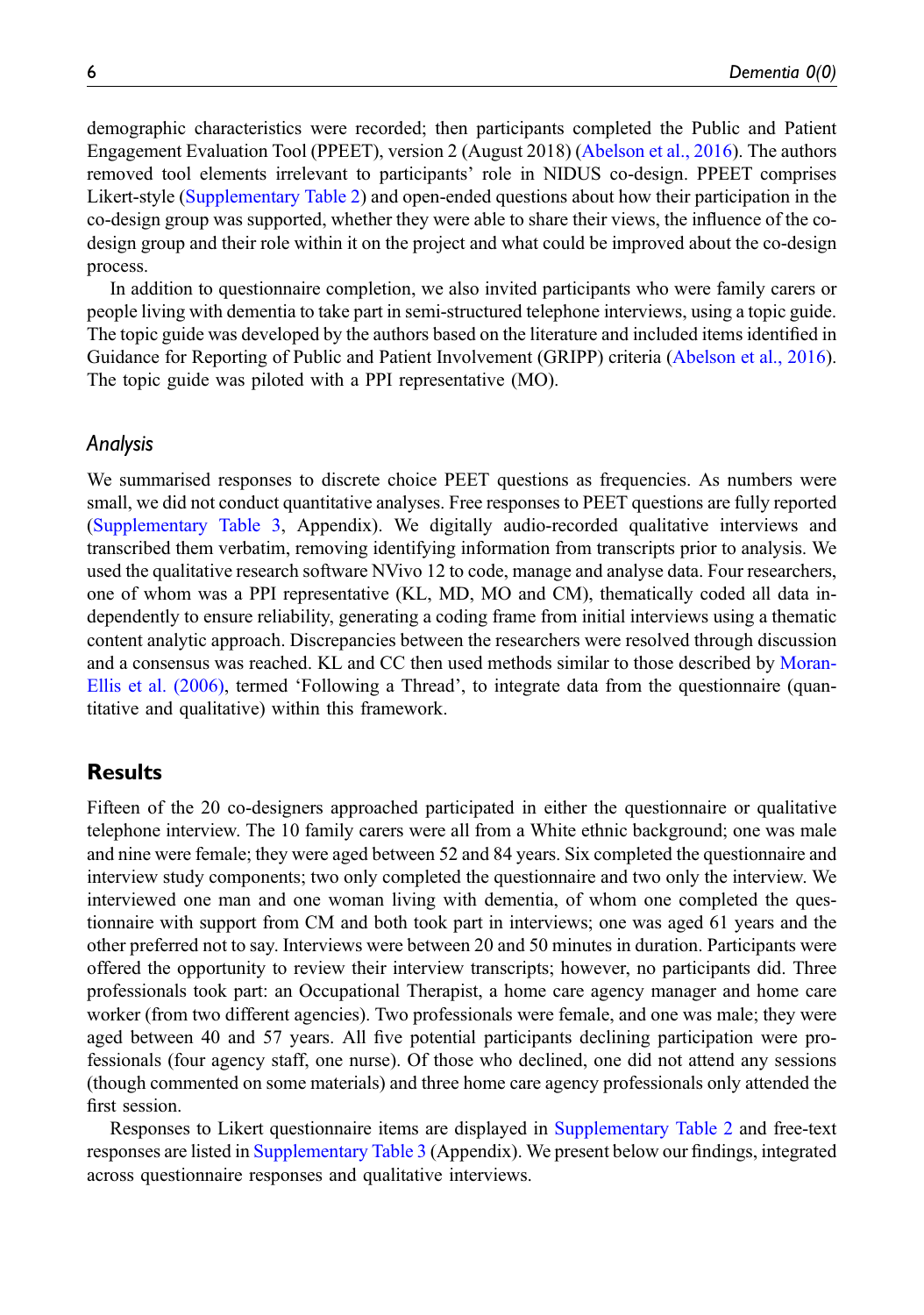demographic characteristics were recorded; then participants completed the Public and Patient Engagement Evaluation Tool (PPEET), version 2 (August 2018) [\(Abelson et al., 2016\)](#page-12-3). The authors removed tool elements irrelevant to participants' role in NIDUS co-design. PPEET comprises Likert-style ([Supplementary Table 2\)](https://journals.sagepub.com/doi/suppl/10.13039/501100000320) and open-ended questions about how their participation in the co-design group was supported, whether they were able to share their views, the influence of the codesign group and their role within it on the project and what could be improved about the co-design process.

In addition to questionnaire completion, we also invited participants who were family carers or people living with dementia to take part in semi-structured telephone interviews, using a topic guide. The topic guide was developed by the authors based on the literature and included items identified in Guidance for Reporting of Public and Patient Involvement (GRIPP) criteria ([Abelson et al., 2016\)](#page-12-3). The topic guide was piloted with a PPI representative (MO).

## Analysis

We summarised responses to discrete choice PEET questions as frequencies. As numbers were small, we did not conduct quantitative analyses. Free responses to PEET questions are fully reported ([Supplementary Table 3,](https://journals.sagepub.com/doi/suppl/10.13039/501100000320) Appendix). We digitally audio-recorded qualitative interviews and transcribed them verbatim, removing identifying information from transcripts prior to analysis. We used the qualitative research software NVivo 12 to code, manage and analyse data. Four researchers, one of whom was a PPI representative (KL, MD, MO and CM), thematically coded all data independently to ensure reliability, generating a coding frame from initial interviews using a thematic content analytic approach. Discrepancies between the researchers were resolved through discussion and a consensus was reached. KL and CC then used methods similar to those described by [Moran-](#page-13-13)[Ellis et al. \(2006\)](#page-13-13), termed 'Following a Thread', to integrate data from the questionnaire (quantitative and qualitative) within this framework.

# Results

Fifteen of the 20 co-designers approached participated in either the questionnaire or qualitative telephone interview. The 10 family carers were all from a White ethnic background; one was male and nine were female; they were aged between 52 and 84 years. Six completed the questionnaire and interview study components; two only completed the questionnaire and two only the interview. We interviewed one man and one woman living with dementia, of whom one completed the questionnaire with support from CM and both took part in interviews; one was aged 61 years and the other preferred not to say. Interviews were between 20 and 50 minutes in duration. Participants were offered the opportunity to review their interview transcripts; however, no participants did. Three professionals took part: an Occupational Therapist, a home care agency manager and home care worker (from two different agencies). Two professionals were female, and one was male; they were aged between 40 and 57 years. All five potential participants declining participation were professionals (four agency staff, one nurse). Of those who declined, one did not attend any sessions (though commented on some materials) and three home care agency professionals only attended the first session.

Responses to Likert questionnaire items are displayed in [Supplementary Table 2](https://journals.sagepub.com/doi/suppl/10.13039/501100000320) and free-text responses are listed in [Supplementary Table 3](https://journals.sagepub.com/doi/suppl/10.13039/501100000320) (Appendix). We present below our findings, integrated across questionnaire responses and qualitative interviews.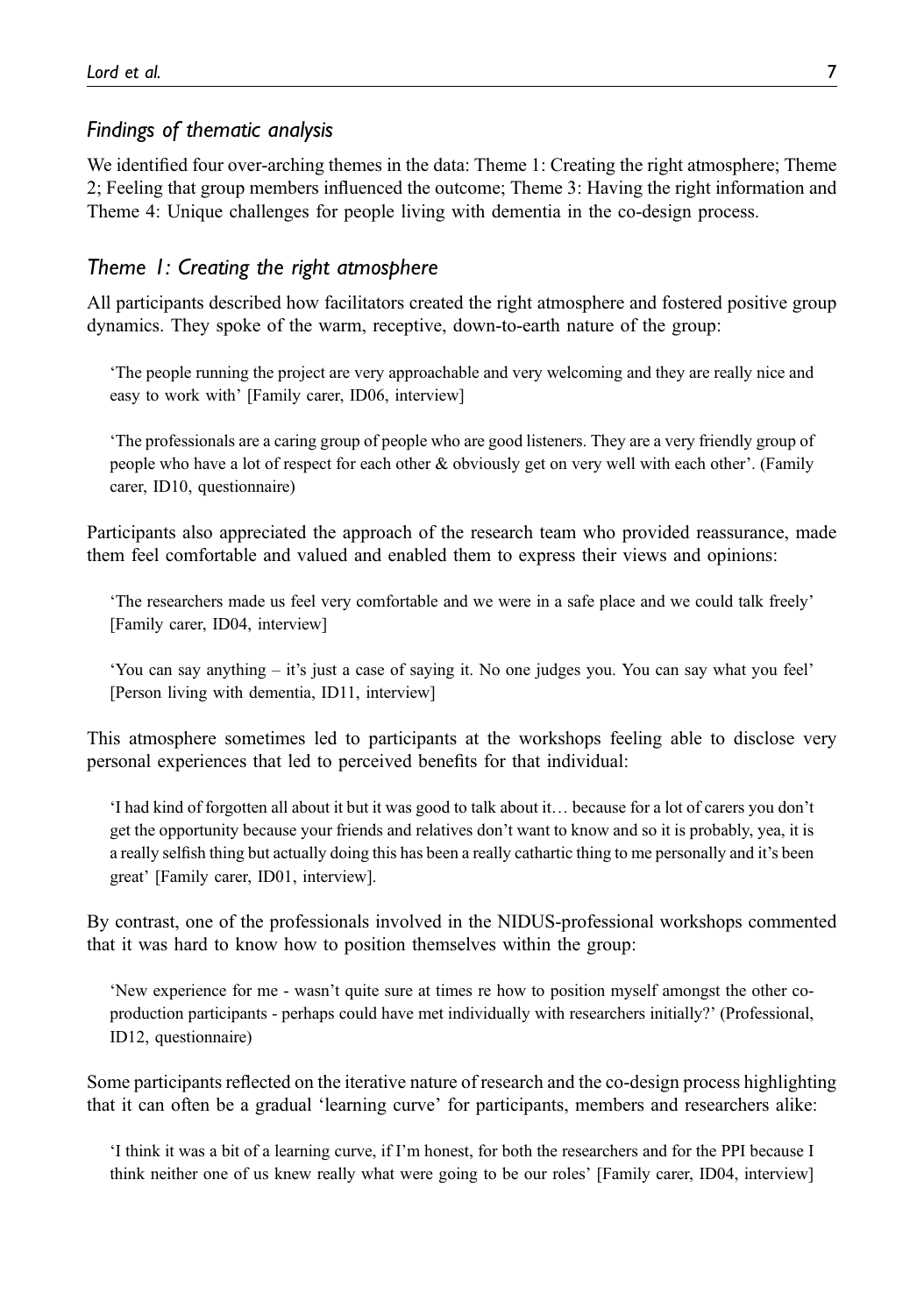# Findings of thematic analysis

We identified four over-arching themes in the data: Theme 1: Creating the right atmosphere; Theme 2; Feeling that group members influenced the outcome; Theme 3: Having the right information and Theme 4: Unique challenges for people living with dementia in the co-design process.

# Theme 1: Creating the right atmosphere

All participants described how facilitators created the right atmosphere and fostered positive group dynamics. They spoke of the warm, receptive, down-to-earth nature of the group:

'The people running the project are very approachable and very welcoming and they are really nice and easy to work with' [Family carer, ID06, interview]

'The professionals are a caring group of people who are good listeners. They are a very friendly group of people who have a lot of respect for each other & obviously get on very well with each other'. (Family carer, ID10, questionnaire)

Participants also appreciated the approach of the research team who provided reassurance, made them feel comfortable and valued and enabled them to express their views and opinions:

'The researchers made us feel very comfortable and we were in a safe place and we could talk freely' [Family carer, ID04, interview]

'You can say anything – it's just a case of saying it. No one judges you. You can say what you feel' [Person living with dementia, ID11, interview]

This atmosphere sometimes led to participants at the workshops feeling able to disclose very personal experiences that led to perceived benefits for that individual:

'I had kind of forgotten all about it but it was good to talk about it… because for a lot of carers you don't get the opportunity because your friends and relatives don't want to know and so it is probably, yea, it is a really selfish thing but actually doing this has been a really cathartic thing to me personally and it's been great' [Family carer, ID01, interview].

By contrast, one of the professionals involved in the NIDUS-professional workshops commented that it was hard to know how to position themselves within the group:

'New experience for me - wasn't quite sure at times re how to position myself amongst the other coproduction participants - perhaps could have met individually with researchers initially?' (Professional, ID12, questionnaire)

Some participants reflected on the iterative nature of research and the co-design process highlighting that it can often be a gradual 'learning curve' for participants, members and researchers alike:

'I think it was a bit of a learning curve, if I'm honest, for both the researchers and for the PPI because I think neither one of us knew really what were going to be our roles' [Family carer, ID04, interview]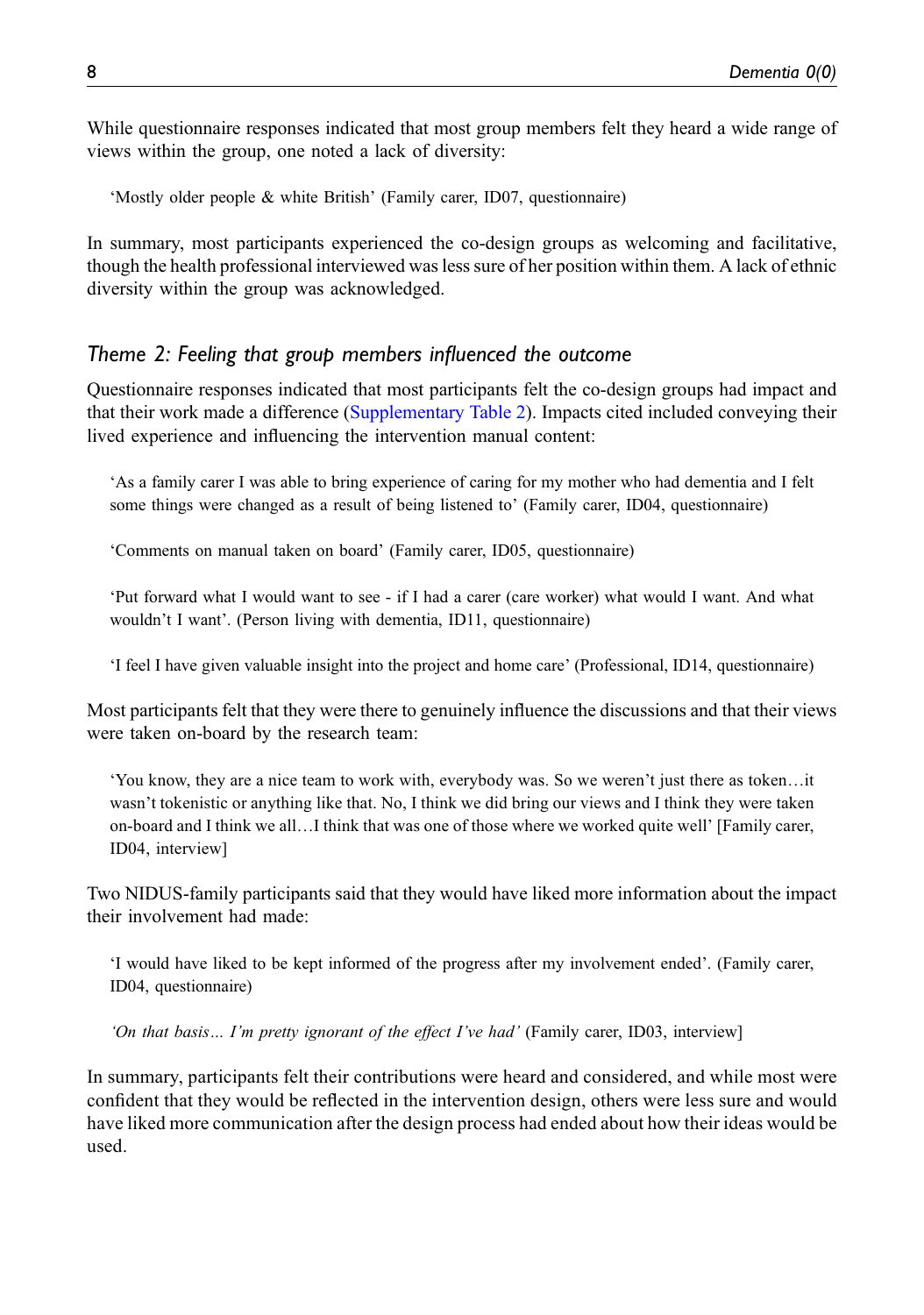While questionnaire responses indicated that most group members felt they heard a wide range of views within the group, one noted a lack of diversity:

'Mostly older people & white British' (Family carer, ID07, questionnaire)

In summary, most participants experienced the co-design groups as welcoming and facilitative, though the health professional interviewed was less sure of her position within them. A lack of ethnic diversity within the group was acknowledged.

## Theme 2: Feeling that group members influenced the outcome

Questionnaire responses indicated that most participants felt the co-design groups had impact and that their work made a difference [\(Supplementary Table 2](https://journals.sagepub.com/doi/suppl/10.13039/501100000320)). Impacts cited included conveying their lived experience and influencing the intervention manual content:

'As a family carer I was able to bring experience of caring for my mother who had dementia and I felt some things were changed as a result of being listened to' (Family carer, ID04, questionnaire)

'Comments on manual taken on board' (Family carer, ID05, questionnaire)

'Put forward what I would want to see - if I had a carer (care worker) what would I want. And what wouldn't I want'. (Person living with dementia, ID11, questionnaire)

'I feel I have given valuable insight into the project and home care' (Professional, ID14, questionnaire)

Most participants felt that they were there to genuinely influence the discussions and that their views were taken on-board by the research team:

'You know, they are a nice team to work with, everybody was. So we weren't just there as token…it wasn't tokenistic or anything like that. No, I think we did bring our views and I think they were taken on-board and I think we all…I think that was one of those where we worked quite well' [Family carer, ID04, interview]

Two NIDUS-family participants said that they would have liked more information about the impact their involvement had made:

'I would have liked to be kept informed of the progress after my involvement ended'. (Family carer, ID04, questionnaire)

'On that basis… I'm pretty ignorant of the effect I've had' (Family carer, ID03, interview]

In summary, participants felt their contributions were heard and considered, and while most were confident that they would be reflected in the intervention design, others were less sure and would have liked more communication after the design process had ended about how their ideas would be used.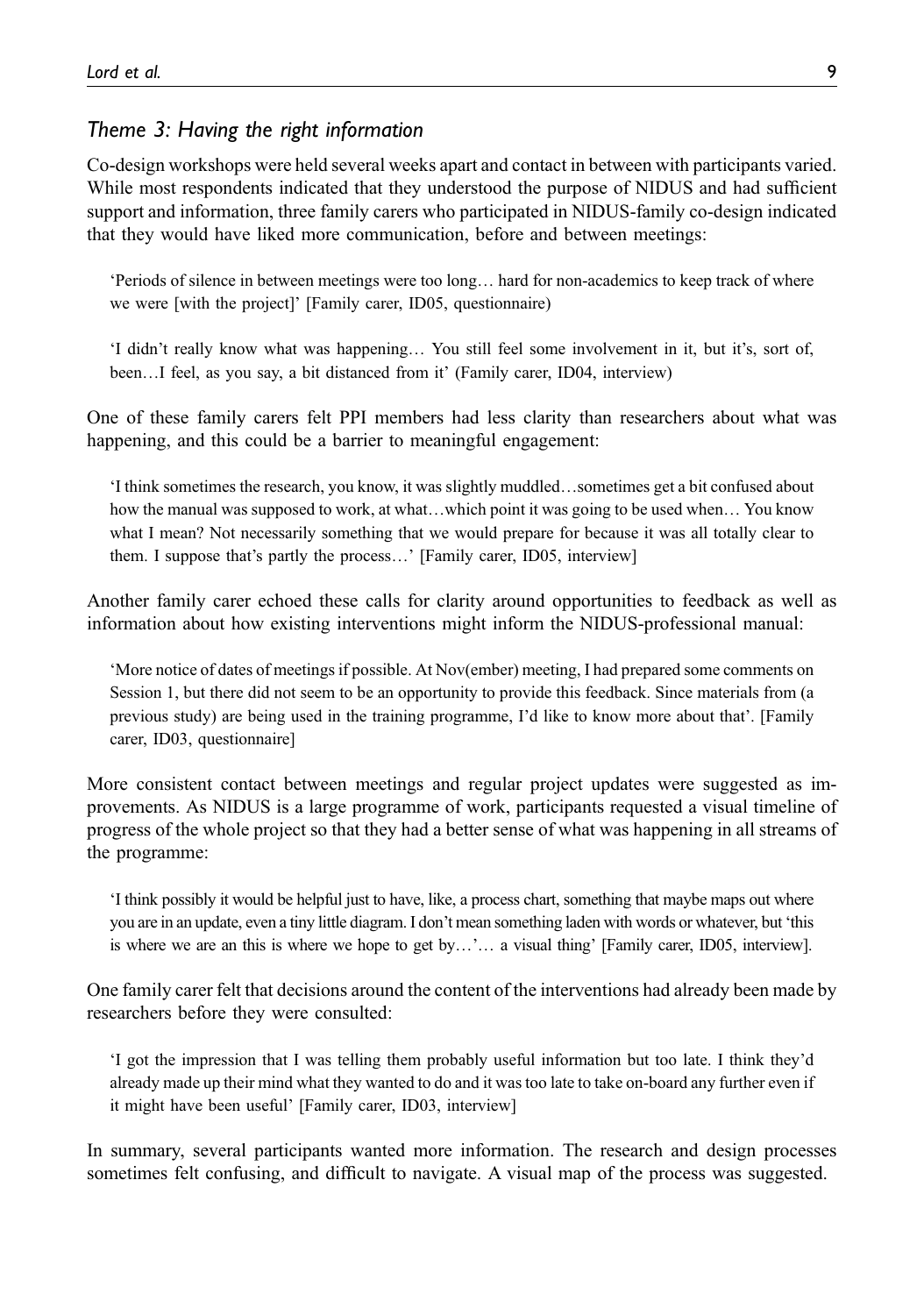# Theme 3: Having the right information

Co-design workshops were held several weeks apart and contact in between with participants varied. While most respondents indicated that they understood the purpose of NIDUS and had sufficient support and information, three family carers who participated in NIDUS-family co-design indicated that they would have liked more communication, before and between meetings:

'Periods of silence in between meetings were too long… hard for non-academics to keep track of where we were [with the project]' [Family carer, ID05, questionnaire)

'I didn't really know what was happening… You still feel some involvement in it, but it's, sort of, been…I feel, as you say, a bit distanced from it' (Family carer, ID04, interview)

One of these family carers felt PPI members had less clarity than researchers about what was happening, and this could be a barrier to meaningful engagement:

'I think sometimes the research, you know, it was slightly muddled…sometimes get a bit confused about how the manual was supposed to work, at what…which point it was going to be used when… You know what I mean? Not necessarily something that we would prepare for because it was all totally clear to them. I suppose that's partly the process…' [Family carer, ID05, interview]

Another family carer echoed these calls for clarity around opportunities to feedback as well as information about how existing interventions might inform the NIDUS-professional manual:

'More notice of dates of meetings if possible. At Nov(ember) meeting, I had prepared some comments on Session 1, but there did not seem to be an opportunity to provide this feedback. Since materials from (a previous study) are being used in the training programme, I'd like to know more about that'. [Family carer, ID03, questionnaire]

More consistent contact between meetings and regular project updates were suggested as improvements. As NIDUS is a large programme of work, participants requested a visual timeline of progress of the whole project so that they had a better sense of what was happening in all streams of the programme:

'I think possibly it would be helpful just to have, like, a process chart, something that maybe maps out where you are in an update, even a tiny little diagram. I don't mean something laden with words or whatever, but 'this is where we are an this is where we hope to get by…'… a visual thing' [Family carer, ID05, interview].

One family carer felt that decisions around the content of the interventions had already been made by researchers before they were consulted:

'I got the impression that I was telling them probably useful information but too late. I think they'd already made up their mind what they wanted to do and it was too late to take on-board any further even if it might have been useful' [Family carer, ID03, interview]

In summary, several participants wanted more information. The research and design processes sometimes felt confusing, and difficult to navigate. A visual map of the process was suggested.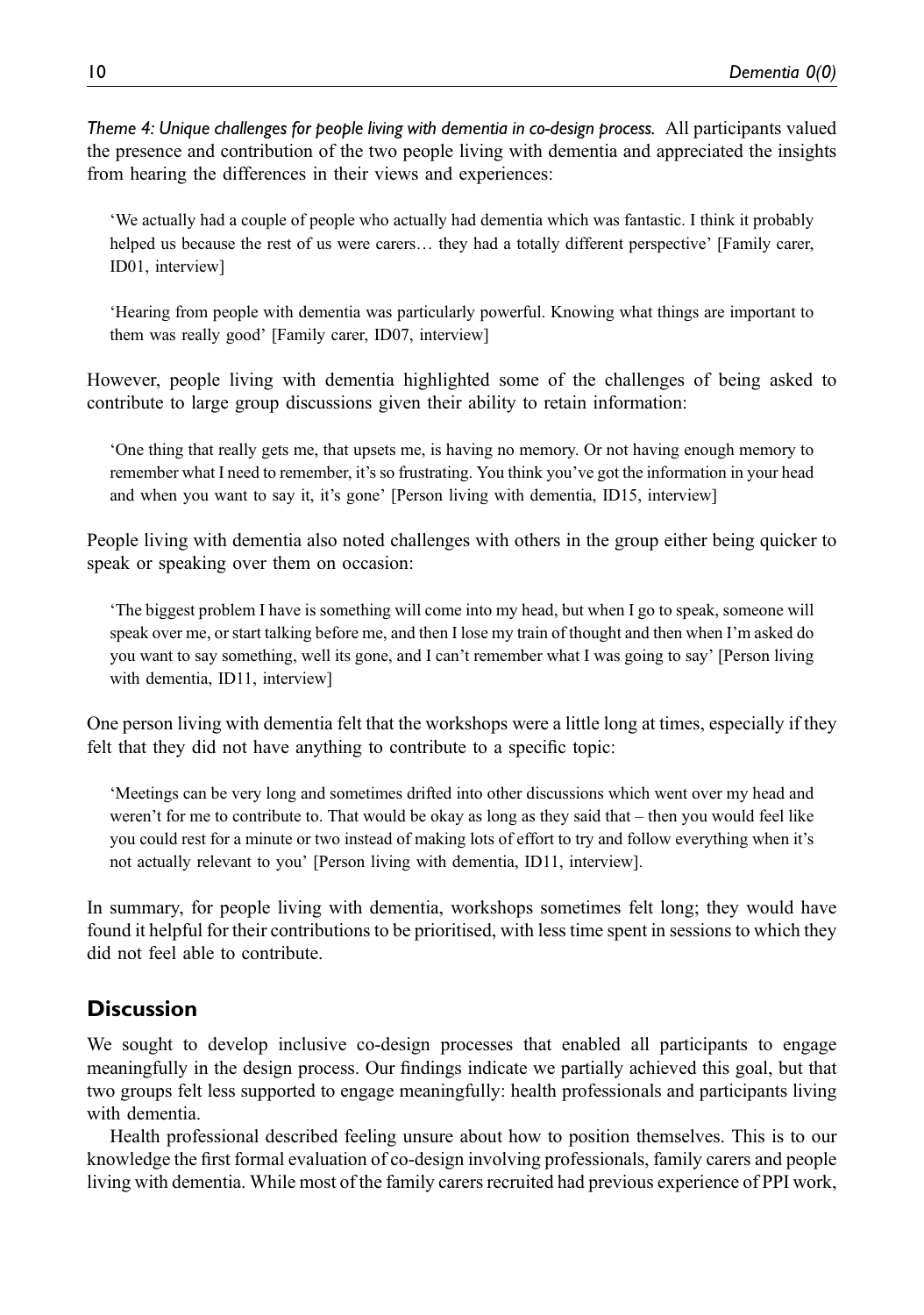Theme 4: Unique challenges for people living with dementia in co-design process. All participants valued the presence and contribution of the two people living with dementia and appreciated the insights from hearing the differences in their views and experiences:

'We actually had a couple of people who actually had dementia which was fantastic. I think it probably helped us because the rest of us were carers… they had a totally different perspective' [Family carer, ID01, interview]

'Hearing from people with dementia was particularly powerful. Knowing what things are important to them was really good' [Family carer, ID07, interview]

However, people living with dementia highlighted some of the challenges of being asked to contribute to large group discussions given their ability to retain information:

'One thing that really gets me, that upsets me, is having no memory. Or not having enough memory to remember what I need to remember, it's so frustrating. You think you've got the information in your head and when you want to say it, it's gone' [Person living with dementia, ID15, interview]

People living with dementia also noted challenges with others in the group either being quicker to speak or speaking over them on occasion:

'The biggest problem I have is something will come into my head, but when I go to speak, someone will speak over me, or start talking before me, and then I lose my train of thought and then when I'm asked do you want to say something, well its gone, and I can't remember what I was going to say' [Person living with dementia, ID11, interview]

One person living with dementia felt that the workshops were a little long at times, especially if they felt that they did not have anything to contribute to a specific topic:

'Meetings can be very long and sometimes drifted into other discussions which went over my head and weren't for me to contribute to. That would be okay as long as they said that – then you would feel like you could rest for a minute or two instead of making lots of effort to try and follow everything when it's not actually relevant to you' [Person living with dementia, ID11, interview].

In summary, for people living with dementia, workshops sometimes felt long; they would have found it helpful for their contributions to be prioritised, with less time spent in sessions to which they did not feel able to contribute.

# **Discussion**

We sought to develop inclusive co-design processes that enabled all participants to engage meaningfully in the design process. Our findings indicate we partially achieved this goal, but that two groups felt less supported to engage meaningfully: health professionals and participants living with dementia.

Health professional described feeling unsure about how to position themselves. This is to our knowledge the first formal evaluation of co-design involving professionals, family carers and people living with dementia. While most of the family carers recruited had previous experience of PPI work,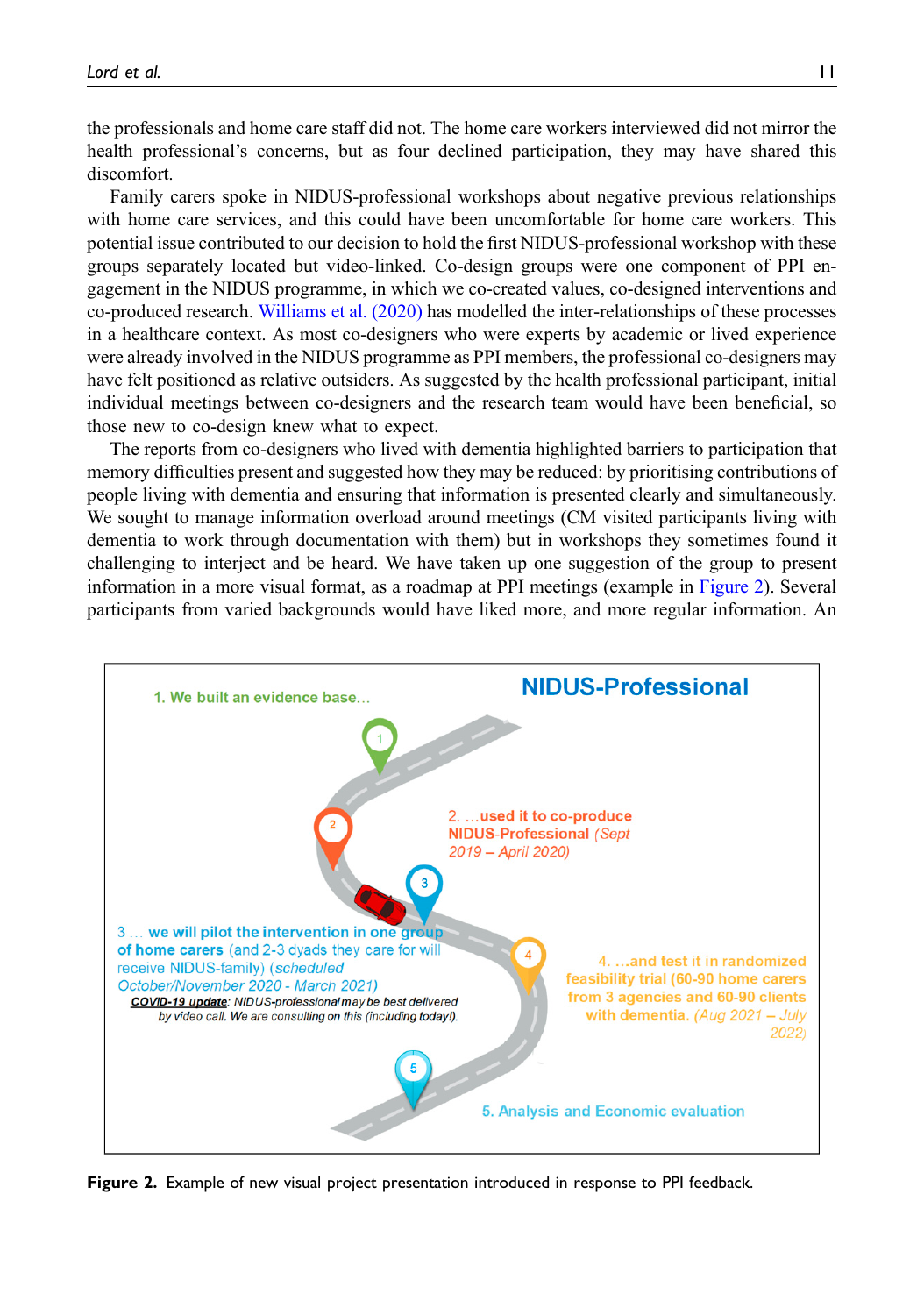the professionals and home care staff did not. The home care workers interviewed did not mirror the health professional's concerns, but as four declined participation, they may have shared this discomfort.

Family carers spoke in NIDUS-professional workshops about negative previous relationships with home care services, and this could have been uncomfortable for home care workers. This potential issue contributed to our decision to hold the first NIDUS-professional workshop with these groups separately located but video-linked. Co-design groups were one component of PPI engagement in the NIDUS programme, in which we co-created values, co-designed interventions and co-produced research. [Williams et al. \(2020\)](#page-14-7) has modelled the inter-relationships of these processes in a healthcare context. As most co-designers who were experts by academic or lived experience were already involved in the NIDUS programme as PPI members, the professional co-designers may have felt positioned as relative outsiders. As suggested by the health professional participant, initial individual meetings between co-designers and the research team would have been beneficial, so those new to co-design knew what to expect.

The reports from co-designers who lived with dementia highlighted barriers to participation that memory difficulties present and suggested how they may be reduced: by prioritising contributions of people living with dementia and ensuring that information is presented clearly and simultaneously. We sought to manage information overload around meetings (CM visited participants living with dementia to work through documentation with them) but in workshops they sometimes found it challenging to interject and be heard. We have taken up one suggestion of the group to present information in a more visual format, as a roadmap at PPI meetings (example in [Figure 2](#page-10-0)). Several participants from varied backgrounds would have liked more, and more regular information. An



<span id="page-10-0"></span>Figure 2. Example of new visual project presentation introduced in response to PPI feedback.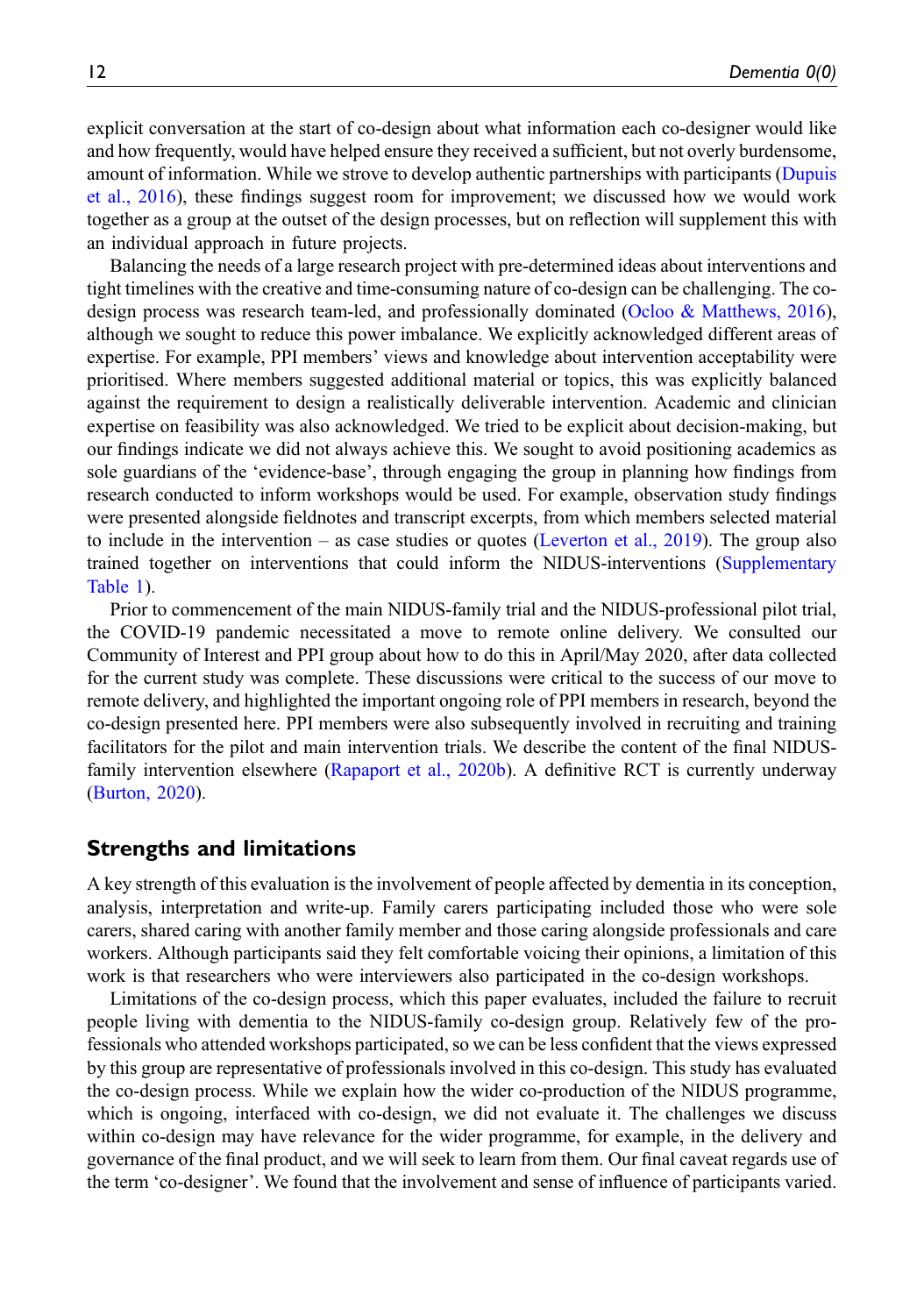explicit conversation at the start of co-design about what information each co-designer would like and how frequently, would have helped ensure they received a sufficient, but not overly burdensome, amount of information. While we strove to develop authentic partnerships with participants ([Dupuis](#page-12-1) [et al., 2016](#page-12-1)), these findings suggest room for improvement; we discussed how we would work together as a group at the outset of the design processes, but on reflection will supplement this with an individual approach in future projects.

Balancing the needs of a large research project with pre-determined ideas about interventions and tight timelines with the creative and time-consuming nature of co-design can be challenging. The codesign process was research team-led, and professionally dominated ([Ocloo & Matthews, 2016\)](#page-13-14), although we sought to reduce this power imbalance. We explicitly acknowledged different areas of expertise. For example, PPI members' views and knowledge about intervention acceptability were prioritised. Where members suggested additional material or topics, this was explicitly balanced against the requirement to design a realistically deliverable intervention. Academic and clinician expertise on feasibility was also acknowledged. We tried to be explicit about decision-making, but our findings indicate we did not always achieve this. We sought to avoid positioning academics as sole guardians of the 'evidence-base', through engaging the group in planning how findings from research conducted to inform workshops would be used. For example, observation study findings were presented alongside fieldnotes and transcript excerpts, from which members selected material to include in the intervention – as case studies or quotes [\(Leverton et al., 2019](#page-13-15)). The group also trained together on interventions that could inform the NIDUS-interventions ([Supplementary](https://journals.sagepub.com/doi/suppl/10.13039/501100000320) [Table 1\)](https://journals.sagepub.com/doi/suppl/10.13039/501100000320).

Prior to commencement of the main NIDUS-family trial and the NIDUS-professional pilot trial, the COVID-19 pandemic necessitated a move to remote online delivery. We consulted our Community of Interest and PPI group about how to do this in April/May 2020, after data collected for the current study was complete. These discussions were critical to the success of our move to remote delivery, and highlighted the important ongoing role of PPI members in research, beyond the co-design presented here. PPI members were also subsequently involved in recruiting and training facilitators for the pilot and main intervention trials. We describe the content of the final NIDUSfamily intervention elsewhere [\(Rapaport et al., 2020b\)](#page-14-8). A definitive RCT is currently underway ([Burton, 2020\)](#page-12-4).

## Strengths and limitations

A key strength of this evaluation is the involvement of people affected by dementia in its conception, analysis, interpretation and write-up. Family carers participating included those who were sole carers, shared caring with another family member and those caring alongside professionals and care workers. Although participants said they felt comfortable voicing their opinions, a limitation of this work is that researchers who were interviewers also participated in the co-design workshops.

Limitations of the co-design process, which this paper evaluates, included the failure to recruit people living with dementia to the NIDUS-family co-design group. Relatively few of the professionals who attended workshops participated, so we can be less confident that the views expressed by this group are representative of professionals involved in this co-design. This study has evaluated the co-design process. While we explain how the wider co-production of the NIDUS programme, which is ongoing, interfaced with co-design, we did not evaluate it. The challenges we discuss within co-design may have relevance for the wider programme, for example, in the delivery and governance of the final product, and we will seek to learn from them. Our final caveat regards use of the term 'co-designer'. We found that the involvement and sense of influence of participants varied.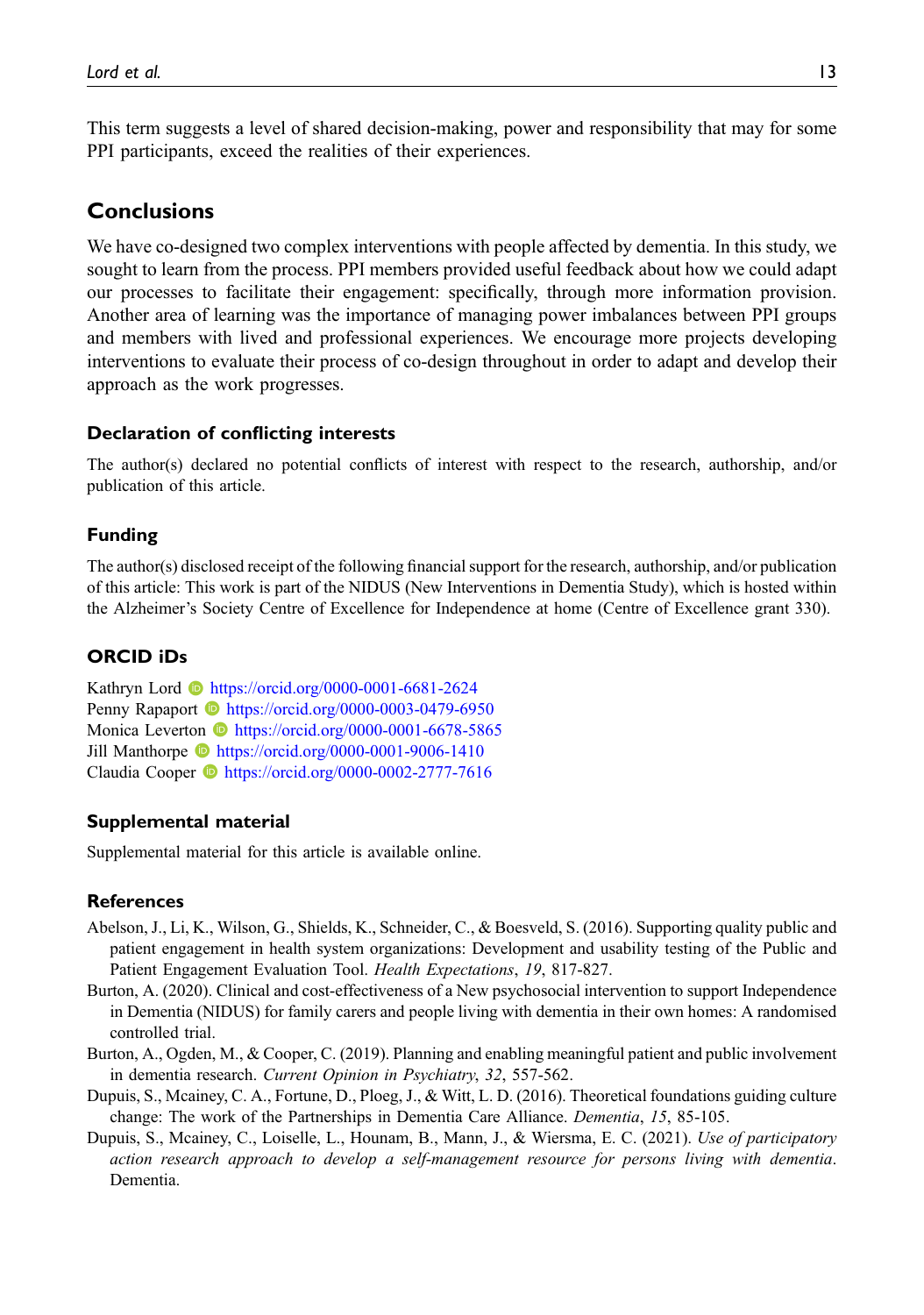This term suggests a level of shared decision-making, power and responsibility that may for some PPI participants, exceed the realities of their experiences.

# Conclusions

We have co-designed two complex interventions with people affected by dementia. In this study, we sought to learn from the process. PPI members provided useful feedback about how we could adapt our processes to facilitate their engagement: specifically, through more information provision. Another area of learning was the importance of managing power imbalances between PPI groups and members with lived and professional experiences. We encourage more projects developing interventions to evaluate their process of co-design throughout in order to adapt and develop their approach as the work progresses.

#### Declaration of conflicting interests

The author(s) declared no potential conflicts of interest with respect to the research, authorship, and/or publication of this article.

#### Funding

The author(s) disclosed receipt of the following financial support for the research, authorship, and/or publication of this article: This work is part of the NIDUS (New Interventions in Dementia Study), which is hosted within the Alzheimer's Society Centre of Excellence for Independence at home (Centre of Excellence grant 330).

## ORCID iDs

Kathryn Lord <https://orcid.org/0000-0001-6681-2624> Penny Rapaport **b** <https://orcid.org/0000-0003-0479-6950> Monica Leverton **b** <https://orcid.org/0000-0001-6678-5865> Jill Manthorpe <https://orcid.org/0000-0001-9006-1410> Claudia Cooper <sup>1</sup> <https://orcid.org/0000-0002-2777-7616>

#### Supplemental material

Supplemental material for this article is available online.

#### References

- <span id="page-12-3"></span>Abelson, J., Li, K., Wilson, G., Shields, K., Schneider, C., & Boesveld, S. (2016). Supporting quality public and patient engagement in health system organizations: Development and usability testing of the Public and Patient Engagement Evaluation Tool. Health Expectations, 19, 817-827.
- <span id="page-12-4"></span>Burton, A. (2020). Clinical and cost-effectiveness of a New psychosocial intervention to support Independence in Dementia (NIDUS) for family carers and people living with dementia in their own homes: A randomised controlled trial.
- <span id="page-12-2"></span>Burton, A., Ogden, M., & Cooper, C. (2019). Planning and enabling meaningful patient and public involvement in dementia research. Current Opinion in Psychiatry, 32, 557-562.
- <span id="page-12-1"></span>Dupuis, S., Mcainey, C. A., Fortune, D., Ploeg, J., & Witt, L. D. (2016). Theoretical foundations guiding culture change: The work of the Partnerships in Dementia Care Alliance. Dementia, 15, 85-105.
- <span id="page-12-0"></span>Dupuis, S., Mcainey, C., Loiselle, L., Hounam, B., Mann, J., & Wiersma, E. C. (2021). Use of participatory action research approach to develop a self-management resource for persons living with dementia. Dementia.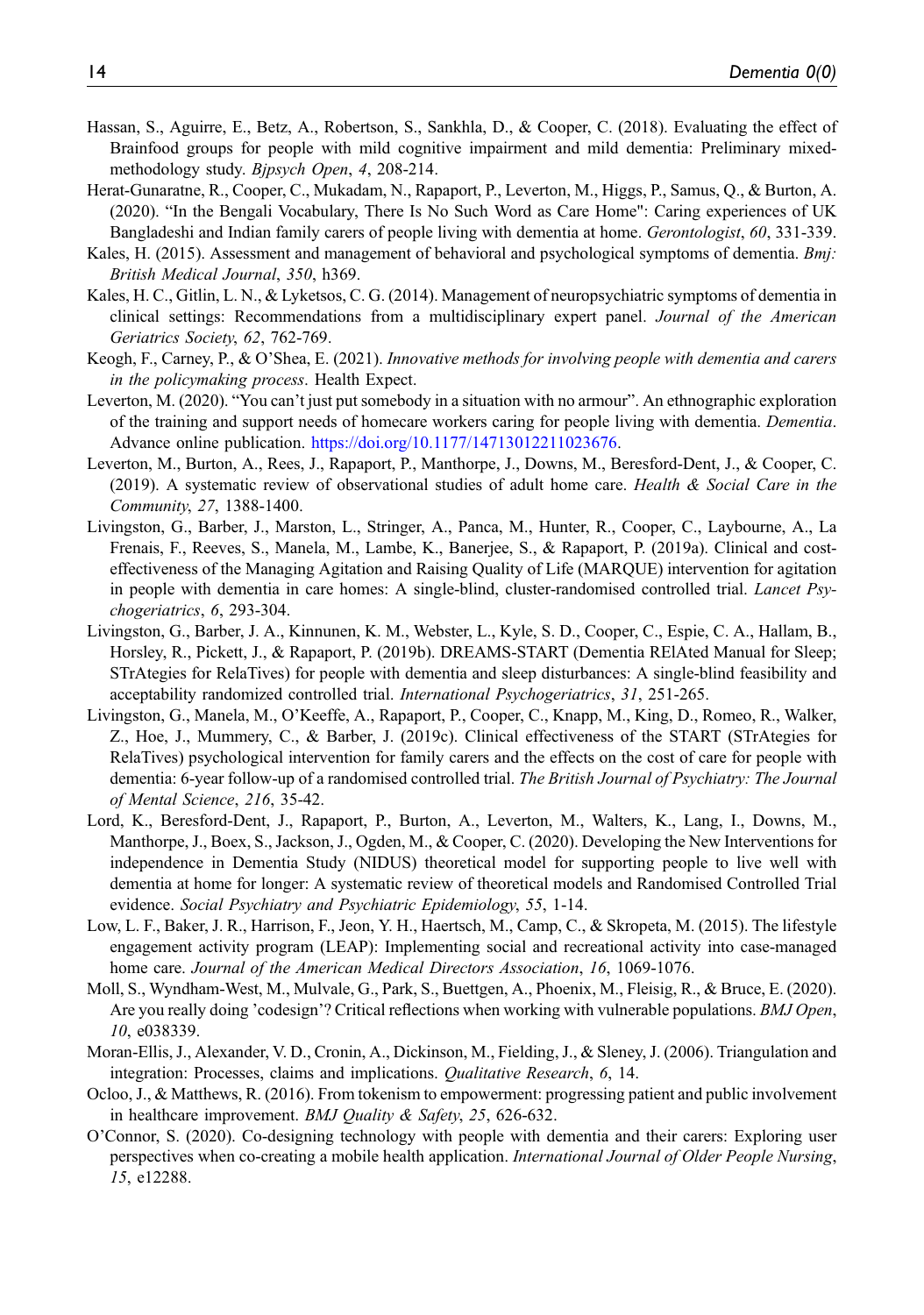- <span id="page-13-5"></span>Hassan, S., Aguirre, E., Betz, A., Robertson, S., Sankhla, D., & Cooper, C. (2018). Evaluating the effect of Brainfood groups for people with mild cognitive impairment and mild dementia: Preliminary mixedmethodology study. Bipsych Open, 4, 208-214.
- <span id="page-13-3"></span>Herat-Gunaratne, R., Cooper, C., Mukadam, N., Rapaport, P., Leverton, M., Higgs, P., Samus, Q., & Burton, A. (2020). "In the Bengali Vocabulary, There Is No Such Word as Care Home": Caring experiences of UK Bangladeshi and Indian family carers of people living with dementia at home. *Gerontologist*, 60, 331-339.
- <span id="page-13-10"></span>Kales, H. (2015). Assessment and management of behavioral and psychological symptoms of dementia. Bmj: British Medical Journal, 350, h369.
- <span id="page-13-6"></span>Kales, H. C., Gitlin, L. N., & Lyketsos, C. G. (2014). Management of neuropsychiatric symptoms of dementia in clinical settings: Recommendations from a multidisciplinary expert panel. Journal of the American Geriatrics Society, 62, 762-769.
- <span id="page-13-2"></span>Keogh, F., Carney, P., & O'Shea, E. (2021). Innovative methods for involving people with dementia and carers in the policymaking process. Health Expect.
- <span id="page-13-9"></span>Leverton, M. (2020). "You can't just put somebody in a situation with no armour". An ethnographic exploration of the training and support needs of homecare workers caring for people living with dementia. Dementia. Advance online publication. [https://doi.org/10.1177/14713012211023676.](https://doi.org/10.1177/14713012211023676)
- <span id="page-13-15"></span>Leverton, M., Burton, A., Rees, J., Rapaport, P., Manthorpe, J., Downs, M., Beresford-Dent, J., & Cooper, C. (2019). A systematic review of observational studies of adult home care. Health & Social Care in the Community, 27, 1388-1400.
- <span id="page-13-11"></span>Livingston, G., Barber, J., Marston, L., Stringer, A., Panca, M., Hunter, R., Cooper, C., Laybourne, A., La Frenais, F., Reeves, S., Manela, M., Lambe, K., Banerjee, S., & Rapaport, P. (2019a). Clinical and costeffectiveness of the Managing Agitation and Raising Quality of Life (MARQUE) intervention for agitation in people with dementia in care homes: A single-blind, cluster-randomised controlled trial. Lancet Psychogeriatrics, 6, 293-304.
- <span id="page-13-7"></span>Livingston, G., Barber, J. A., Kinnunen, K. M., Webster, L., Kyle, S. D., Cooper, C., Espie, C. A., Hallam, B., Horsley, R., Pickett, J., & Rapaport, P. (2019b). DREAMS-START (Dementia RElAted Manual for Sleep; STrAtegies for RelaTives) for people with dementia and sleep disturbances: A single-blind feasibility and acceptability randomized controlled trial. *International Psychogeriatrics*, 31, 251-265.
- <span id="page-13-8"></span>Livingston, G., Manela, M., O'Keeffe, A., Rapaport, P., Cooper, C., Knapp, M., King, D., Romeo, R., Walker, Z., Hoe, J., Mummery, C., & Barber, J. (2019c). Clinical effectiveness of the START (STrAtegies for RelaTives) psychological intervention for family carers and the effects on the cost of care for people with dementia: 6-year follow-up of a randomised controlled trial. The British Journal of Psychiatry: The Journal of Mental Science, 216, 35-42.
- <span id="page-13-4"></span>Lord, K., Beresford-Dent, J., Rapaport, P., Burton, A., Leverton, M., Walters, K., Lang, I., Downs, M., Manthorpe, J., Boex, S., Jackson, J., Ogden, M., & Cooper, C. (2020). Developing the New Interventions for independence in Dementia Study (NIDUS) theoretical model for supporting people to live well with dementia at home for longer: A systematic review of theoretical models and Randomised Controlled Trial evidence. Social Psychiatry and Psychiatric Epidemiology, 55, 1-14.
- <span id="page-13-12"></span>Low, L. F., Baker, J. R., Harrison, F., Jeon, Y. H., Haertsch, M., Camp, C., & Skropeta, M. (2015). The lifestyle engagement activity program (LEAP): Implementing social and recreational activity into case-managed home care. Journal of the American Medical Directors Association, 16, 1069-1076.
- <span id="page-13-0"></span>Moll, S., Wyndham-West, M., Mulvale, G., Park, S., Buettgen, A., Phoenix, M., Fleisig, R., & Bruce, E. (2020). Are you really doing 'codesign'? Critical reflections when working with vulnerable populations. BMJ Open, 10, e038339.
- <span id="page-13-13"></span>Moran-Ellis, J., Alexander, V. D., Cronin, A., Dickinson, M., Fielding, J., & Sleney, J. (2006). Triangulation and integration: Processes, claims and implications. Qualitative Research, 6, 14.
- <span id="page-13-14"></span>Ocloo, J., & Matthews, R. (2016). From tokenism to empowerment: progressing patient and public involvement in healthcare improvement. *BMJ Quality & Safety*, 25, 626-632.
- <span id="page-13-1"></span>O'Connor, S. (2020). Co-designing technology with people with dementia and their carers: Exploring user perspectives when co-creating a mobile health application. *International Journal of Older People Nursing*, 15, e12288.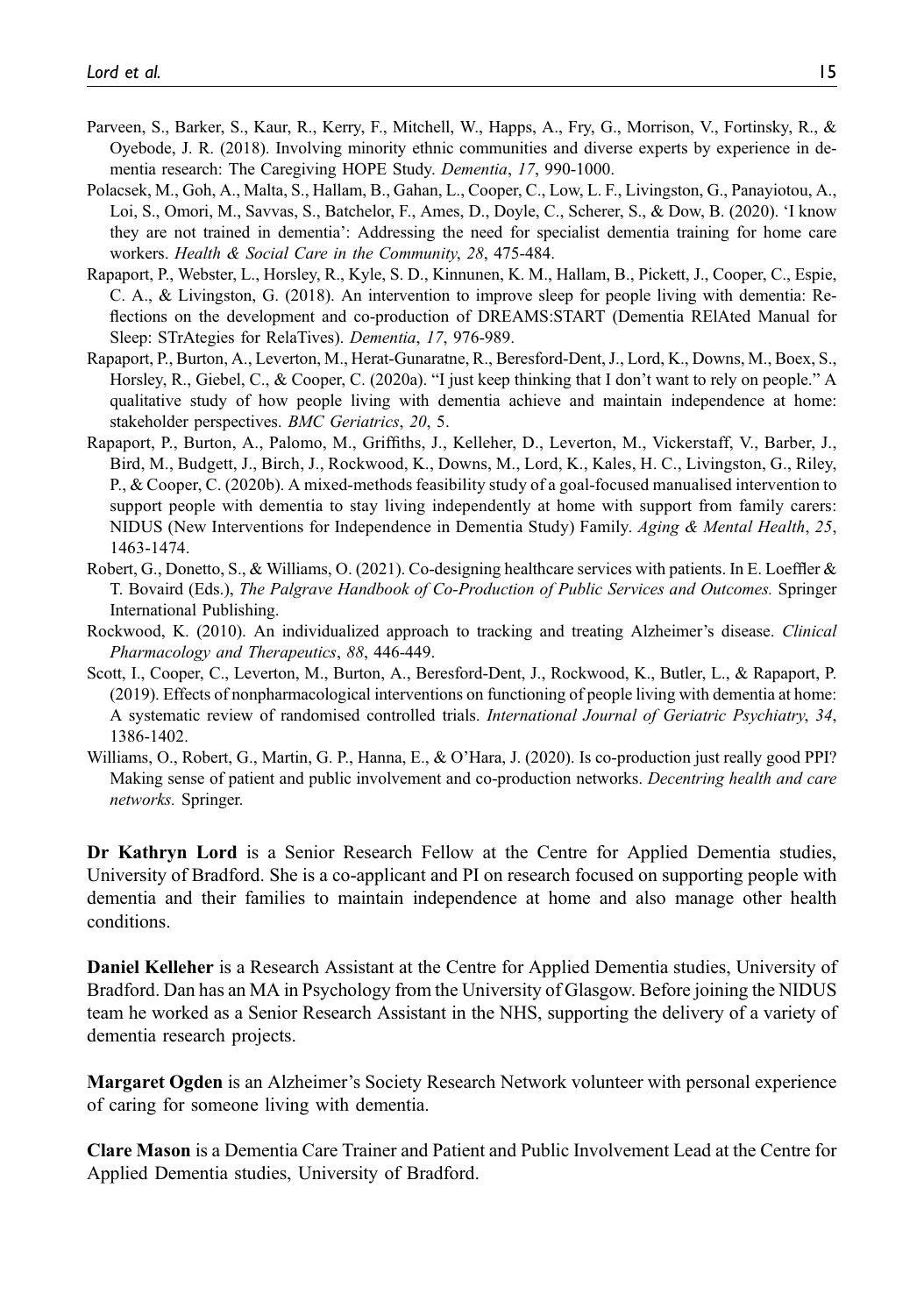- <span id="page-14-2"></span>Parveen, S., Barker, S., Kaur, R., Kerry, F., Mitchell, W., Happs, A., Fry, G., Morrison, V., Fortinsky, R., & Oyebode, J. R. (2018). Involving minority ethnic communities and diverse experts by experience in dementia research: The Caregiving HOPE Study. Dementia, 17, 990-1000.
- <span id="page-14-6"></span>Polacsek, M., Goh, A., Malta, S., Hallam, B., Gahan, L., Cooper, C., Low, L. F., Livingston, G., Panayiotou, A., Loi, S., Omori, M., Savvas, S., Batchelor, F., Ames, D., Doyle, C., Scherer, S., & Dow, B. (2020). 'I know they are not trained in dementia': Addressing the need for specialist dementia training for home care workers. Health & Social Care in the Community, 28, 475-484.
- <span id="page-14-1"></span>Rapaport, P., Webster, L., Horsley, R., Kyle, S. D., Kinnunen, K. M., Hallam, B., Pickett, J., Cooper, C., Espie, C. A., & Livingston, G. (2018). An intervention to improve sleep for people living with dementia: Reflections on the development and co-production of DREAMS:START (Dementia RElAted Manual for Sleep: STrAtegies for RelaTives). *Dementia*, 17, 976-989.
- <span id="page-14-3"></span>Rapaport, P., Burton, A., Leverton, M., Herat-Gunaratne, R., Beresford-Dent, J., Lord, K., Downs, M., Boex, S., Horsley, R., Giebel, C., & Cooper, C. (2020a). "I just keep thinking that I don't want to rely on people." A qualitative study of how people living with dementia achieve and maintain independence at home: stakeholder perspectives. BMC Geriatrics, 20, 5.
- <span id="page-14-8"></span>Rapaport, P., Burton, A., Palomo, M., Griffiths, J., Kelleher, D., Leverton, M., Vickerstaff, V., Barber, J., Bird, M., Budgett, J., Birch, J., Rockwood, K., Downs, M., Lord, K., Kales, H. C., Livingston, G., Riley, P., & Cooper, C. (2020b). A mixed-methods feasibility study of a goal-focused manualised intervention to support people with dementia to stay living independently at home with support from family carers: NIDUS (New Interventions for Independence in Dementia Study) Family. Aging & Mental Health, 25, 1463-1474.
- <span id="page-14-0"></span>Robert, G., Donetto, S., & Williams, O. (2021). Co-designing healthcare services with patients. In E. Loeffler & T. Bovaird (Eds.), The Palgrave Handbook of Co-Production of Public Services and Outcomes. Springer International Publishing.
- <span id="page-14-5"></span>Rockwood, K. (2010). An individualized approach to tracking and treating Alzheimer's disease. Clinical Pharmacology and Therapeutics, 88, 446-449.
- <span id="page-14-4"></span>Scott, I., Cooper, C., Leverton, M., Burton, A., Beresford-Dent, J., Rockwood, K., Butler, L., & Rapaport, P. (2019). Effects of nonpharmacological interventions on functioning of people living with dementia at home: A systematic review of randomised controlled trials. International Journal of Geriatric Psychiatry, 34, 1386-1402.
- <span id="page-14-7"></span>Williams, O., Robert, G., Martin, G. P., Hanna, E., & O'Hara, J. (2020). Is co-production just really good PPI? Making sense of patient and public involvement and co-production networks. *Decentring health and care* networks. Springer.

Dr Kathryn Lord is a Senior Research Fellow at the Centre for Applied Dementia studies, University of Bradford. She is a co-applicant and PI on research focused on supporting people with dementia and their families to maintain independence at home and also manage other health conditions.

Daniel Kelleher is a Research Assistant at the Centre for Applied Dementia studies, University of Bradford. Dan has an MA in Psychology from the University of Glasgow. Before joining the NIDUS team he worked as a Senior Research Assistant in the NHS, supporting the delivery of a variety of dementia research projects.

Margaret Ogden is an Alzheimer's Society Research Network volunteer with personal experience of caring for someone living with dementia.

Clare Mason is a Dementia Care Trainer and Patient and Public Involvement Lead at the Centre for Applied Dementia studies, University of Bradford.